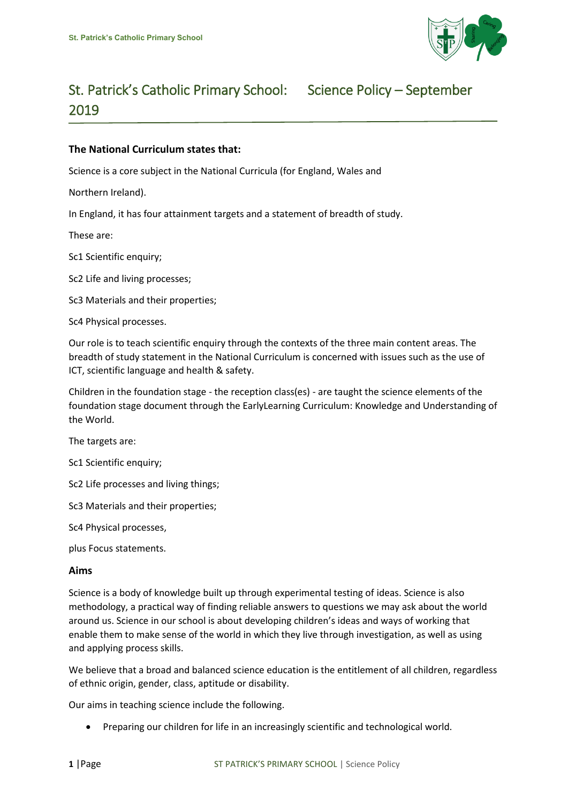

# St. Patrick's Catholic Primary School: Science Policy – September 2019

# **The National Curriculum states that:**

Science is a core subject in the National Curricula (for England, Wales and

Northern Ireland).

In England, it has four attainment targets and a statement of breadth of study.

These are:

Sc1 Scientific enquiry;

Sc2 Life and living processes;

Sc3 Materials and their properties;

Sc4 Physical processes.

Our role is to teach scientific enquiry through the contexts of the three main content areas. The breadth of study statement in the National Curriculum is concerned with issues such as the use of ICT, scientific language and health & safety.

Children in the foundation stage - the reception class(es) - are taught the science elements of the foundation stage document through the EarlyLearning Curriculum: Knowledge and Understanding of the World.

The targets are:

Sc1 Scientific enquiry;

Sc2 Life processes and living things;

Sc3 Materials and their properties;

Sc4 Physical processes,

plus Focus statements.

#### **Aims**

Science is a body of knowledge built up through experimental testing of ideas. Science is also methodology, a practical way of finding reliable answers to questions we may ask about the world around us. Science in our school is about developing children's ideas and ways of working that enable them to make sense of the world in which they live through investigation, as well as using and applying process skills.

We believe that a broad and balanced science education is the entitlement of all children, regardless of ethnic origin, gender, class, aptitude or disability.

Our aims in teaching science include the following.

Preparing our children for life in an increasingly scientific and technological world.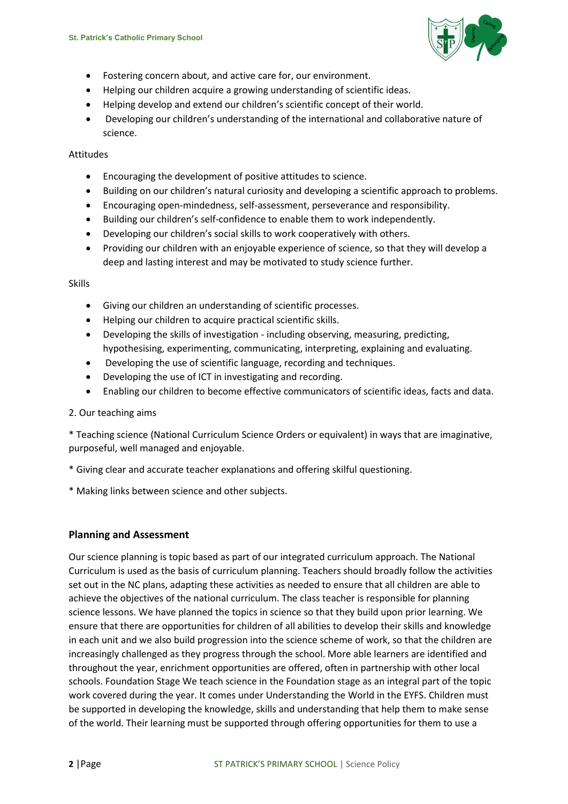

- Fostering concern about, and active care for, our environment.
- Helping our children acquire a growing understanding of scientific ideas.
- Helping develop and extend our children's scientific concept of their world.
- Developing our children's understanding of the international and collaborative nature of science.

## Attitudes

- Encouraging the development of positive attitudes to science.
- Building on our children's natural curiosity and developing a scientific approach to problems.
- Encouraging open-mindedness, self-assessment, perseverance and responsibility.
- Building our children's self-confidence to enable them to work independently.
- Developing our children's social skills to work cooperatively with others.
- Providing our children with an enjoyable experience of science, so that they will develop a deep and lasting interest and may be motivated to study science further.

Skills

- Giving our children an understanding of scientific processes.
- Helping our children to acquire practical scientific skills.
- Developing the skills of investigation including observing, measuring, predicting, hypothesising, experimenting, communicating, interpreting, explaining and evaluating.
- Developing the use of scientific language, recording and techniques.
- Developing the use of ICT in investigating and recording.
- Enabling our children to become effective communicators of scientific ideas, facts and data.

#### 2. Our teaching aims

\* Teaching science (National Curriculum Science Orders or equivalent) in ways that are imaginative, purposeful, well managed and enjoyable.

- \* Giving clear and accurate teacher explanations and offering skilful questioning.
- \* Making links between science and other subjects.

# **Planning and Assessment**

Our science planning is topic based as part of our integrated curriculum approach. The National Curriculum is used as the basis of curriculum planning. Teachers should broadly follow the activities set out in the NC plans, adapting these activities as needed to ensure that all children are able to achieve the objectives of the national curriculum. The class teacher is responsible for planning science lessons. We have planned the topics in science so that they build upon prior learning. We ensure that there are opportunities for children of all abilities to develop their skills and knowledge in each unit and we also build progression into the science scheme of work, so that the children are increasingly challenged as they progress through the school. More able learners are identified and throughout the year, enrichment opportunities are offered, often in partnership with other local schools. Foundation Stage We teach science in the Foundation stage as an integral part of the topic work covered during the year. It comes under Understanding the World in the EYFS. Children must be supported in developing the knowledge, skills and understanding that help them to make sense of the world. Their learning must be supported through offering opportunities for them to use a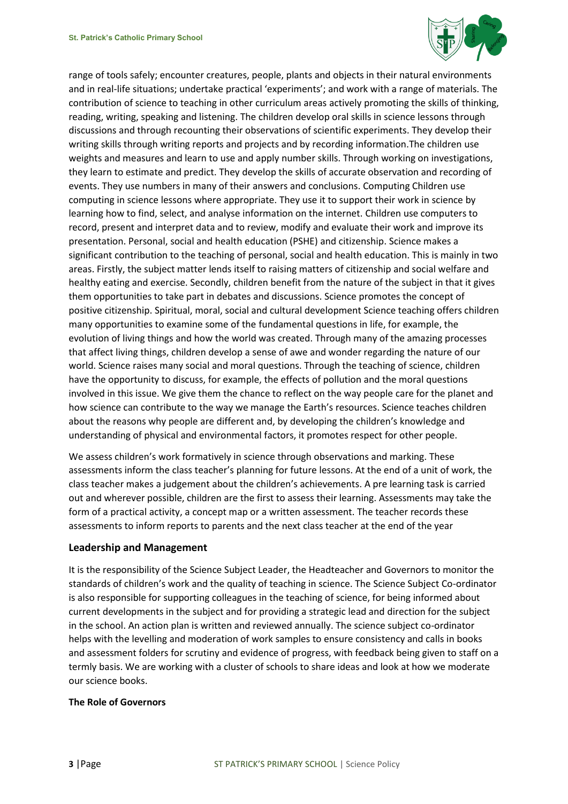

range of tools safely; encounter creatures, people, plants and objects in their natural environments and in real-life situations; undertake practical 'experiments'; and work with a range of materials. The contribution of science to teaching in other curriculum areas actively promoting the skills of thinking, reading, writing, speaking and listening. The children develop oral skills in science lessons through discussions and through recounting their observations of scientific experiments. They develop their writing skills through writing reports and projects and by recording information.The children use weights and measures and learn to use and apply number skills. Through working on investigations, they learn to estimate and predict. They develop the skills of accurate observation and recording of events. They use numbers in many of their answers and conclusions. Computing Children use computing in science lessons where appropriate. They use it to support their work in science by learning how to find, select, and analyse information on the internet. Children use computers to record, present and interpret data and to review, modify and evaluate their work and improve its presentation. Personal, social and health education (PSHE) and citizenship. Science makes a significant contribution to the teaching of personal, social and health education. This is mainly in two areas. Firstly, the subject matter lends itself to raising matters of citizenship and social welfare and healthy eating and exercise. Secondly, children benefit from the nature of the subject in that it gives them opportunities to take part in debates and discussions. Science promotes the concept of positive citizenship. Spiritual, moral, social and cultural development Science teaching offers children many opportunities to examine some of the fundamental questions in life, for example, the evolution of living things and how the world was created. Through many of the amazing processes that affect living things, children develop a sense of awe and wonder regarding the nature of our world. Science raises many social and moral questions. Through the teaching of science, children have the opportunity to discuss, for example, the effects of pollution and the moral questions involved in this issue. We give them the chance to reflect on the way people care for the planet and how science can contribute to the way we manage the Earth's resources. Science teaches children about the reasons why people are different and, by developing the children's knowledge and understanding of physical and environmental factors, it promotes respect for other people.

We assess children's work formatively in science through observations and marking. These assessments inform the class teacher's planning for future lessons. At the end of a unit of work, the class teacher makes a judgement about the children's achievements. A pre learning task is carried out and wherever possible, children are the first to assess their learning. Assessments may take the form of a practical activity, a concept map or a written assessment. The teacher records these assessments to inform reports to parents and the next class teacher at the end of the year

# **Leadership and Management**

It is the responsibility of the Science Subject Leader, the Headteacher and Governors to monitor the standards of children's work and the quality of teaching in science. The Science Subject Co-ordinator is also responsible for supporting colleagues in the teaching of science, for being informed about current developments in the subject and for providing a strategic lead and direction for the subject in the school. An action plan is written and reviewed annually. The science subject co-ordinator helps with the levelling and moderation of work samples to ensure consistency and calls in books and assessment folders for scrutiny and evidence of progress, with feedback being given to staff on a termly basis. We are working with a cluster of schools to share ideas and look at how we moderate our science books.

#### **The Role of Governors**